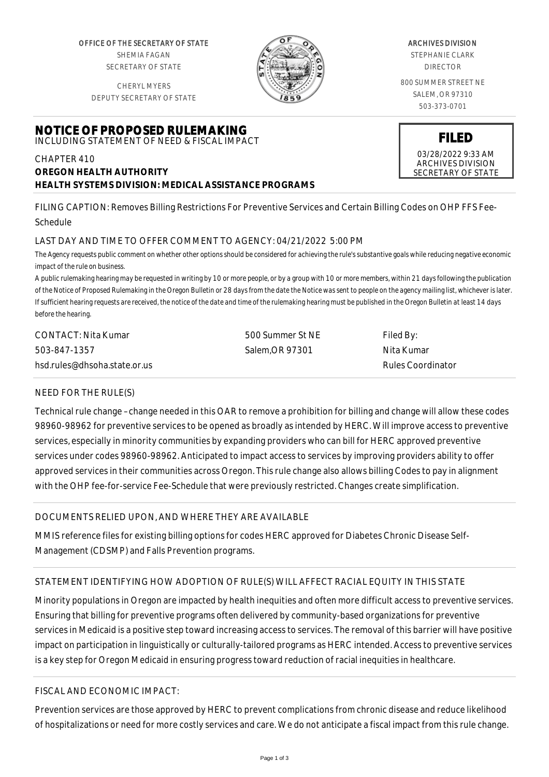OFFICE OF THE SECRETARY OF STATE SHEMIA FAGAN SECRETARY OF STATE

CHERYL MYERS DEPUTY SECRETARY OF STATE

## **NOTICE OF PROPOSED RULEMAKING** INCLUDING STATEMENT OF NEED & FISCAL IMPACT

## CHAPTER 410 **OREGON HEALTH AUTHORITY HEALTH SYSTEMS DIVISION: MEDICAL ASSISTANCE PROGRAMS**

ARCHIVES DIVISION

STEPHANIE CLARK DIRECTOR

800 SUMMER STREET NE SALEM, OR 97310 503-373-0701

# 03/28/2022 9:33 AM ARCHIVES DIVISION SECRETARY OF STATE

**FILED**

FILING CAPTION: Removes Billing Restrictions For Preventive Services and Certain Billing Codes on OHP FFS Fee-Schedule

### LAST DAY AND TIME TO OFFER COMMENT TO AGENCY: 04/21/2022 5:00 PM

*The Agency requests public comment on whether other options should be considered for achieving the rule's substantive goals while reducing negative economic impact of the rule on business.*

*A public rulemaking hearing may be requested in writing by 10 or more people, or by a group with 10 or more members, within 21 days following the publication of the Notice of Proposed Rulemaking in the Oregon Bulletin or 28 days from the date the Notice was sent to people on the agency mailing list, whichever is later. If sufficient hearing requests are received, the notice of the date and time of the rulemaking hearing must be published in the Oregon Bulletin at least 14 days before the hearing.*

| CONTACT: Nita Kumar          | 500 Summer St NE | Filed By:         |
|------------------------------|------------------|-------------------|
| 503-847-1357                 | Salem.OR 97301   | Nita Kumar        |
| hsd.rules@dhsoha.state.or.us |                  | Rules Coordinator |

### NEED FOR THE RULE(S)

Technical rule change –change needed in this OAR to remove a prohibition for billing and change will allow these codes 98960-98962 for preventive services to be opened as broadly as intended by HERC. Will improve access to preventive services, especially in minority communities by expanding providers who can bill for HERC approved preventive services under codes 98960-98962. Anticipated to impact access to services by improving providers ability to offer approved services in their communities across Oregon. This rule change also allows billing Codes to pay in alignment with the OHP fee-for-service Fee-Schedule that were previously restricted. Changes create simplification.

# DOCUMENTS RELIED UPON, AND WHERE THEY ARE AVAILABLE

MMIS reference files for existing billing options for codes HERC approved for Diabetes Chronic Disease Self-Management (CDSMP) and Falls Prevention programs.

# STATEMENT IDENTIFYING HOW ADOPTION OF RULE(S) WILL AFFECT RACIAL EQUITY IN THIS STATE

Minority populations in Oregon are impacted by health inequities and often more difficult access to preventive services. Ensuring that billing for preventive programs often delivered by community-based organizations for preventive services in Medicaid is a positive step toward increasing access to services. The removal of this barrier will have positive impact on participation in linguistically or culturally-tailored programs as HERC intended. Access to preventive services is a key step for Oregon Medicaid in ensuring progress toward reduction of racial inequities in healthcare.

### FISCAL AND ECONOMIC IMPACT:

Prevention services are those approved by HERC to prevent complications from chronic disease and reduce likelihood of hospitalizations or need for more costly services and care. We do not anticipate a fiscal impact from this rule change.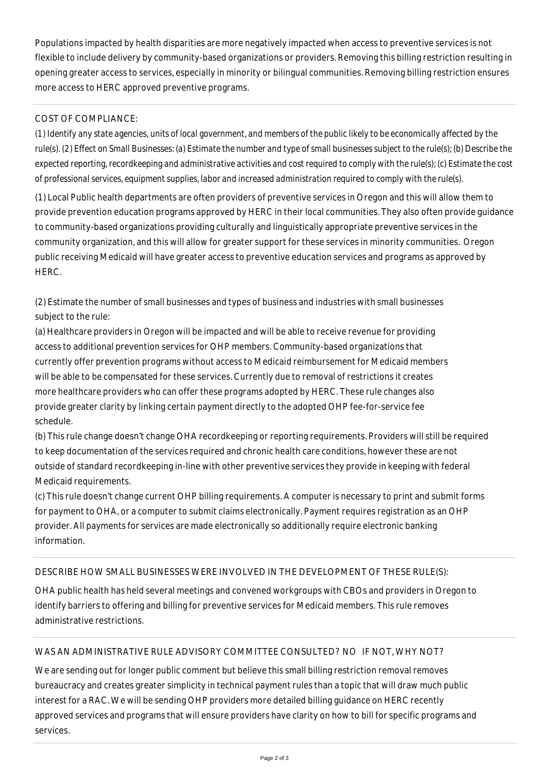Populations impacted by health disparities are more negatively impacted when access to preventive services is not flexible to include delivery by community-based organizations or providers. Removing this billing restriction resulting in opening greater access to services, especially in minority or bilingual communities. Removing billing restriction ensures more access to HERC approved preventive programs.

# COST OF COMPLIANCE:

*(1) Identify any state agencies, units of local government, and members of the public likely to be economically affected by the rule(s). (2) Effect on Small Businesses: (a) Estimate the number and type of small businesses subject to the rule(s); (b) Describe the expected reporting, recordkeeping and administrative activities and cost required to comply with the rule(s); (c) Estimate the cost of professional services, equipment supplies, labor and increased administration required to comply with the rule(s).*

(1) Local Public health departments are often providers of preventive services in Oregon and this will allow them to provide prevention education programs approved by HERC in their local communities. They also often provide guidance to community-based organizations providing culturally and linguistically appropriate preventive services in the community organization, and this will allow for greater support for these services in minority communities. Oregon public receiving Medicaid will have greater access to preventive education services and programs as approved by HERC.

(2) Estimate the number of small businesses and types of business and industries with small businesses subject to the rule:

(a) Healthcare providers in Oregon will be impacted and will be able to receive revenue for providing access to additional prevention services for OHP members. Community-based organizations that currently offer prevention programs without access to Medicaid reimbursement for Medicaid members will be able to be compensated for these services. Currently due to removal of restrictions it creates more healthcare providers who can offer these programs adopted by HERC. These rule changes also provide greater clarity by linking certain payment directly to the adopted OHP fee-for-service fee schedule.

(b) This rule change doesn't change OHA recordkeeping or reporting requirements. Providers will still be required to keep documentation of the services required and chronic health care conditions, however these are not outside of standard recordkeeping in-line with other preventive services they provide in keeping with federal Medicaid requirements.

(c) This rule doesn't change current OHP billing requirements. A computer is necessary to print and submit forms for payment to OHA, or a computer to submit claims electronically. Payment requires registration as an OHP provider. All payments for services are made electronically so additionally require electronic banking information.

### DESCRIBE HOW SMALL BUSINESSES WERE INVOLVED IN THE DEVELOPMENT OF THESE RULE(S):

OHA public health has held several meetings and convened workgroups with CBOs and providers in Oregon to identify barriers to offering and billing for preventive services for Medicaid members. This rule removes administrative restrictions.

# WAS AN ADMINISTRATIVE RULE ADVISORY COMMITTEE CONSULTED? NO IF NOT, WHY NOT?

We are sending out for longer public comment but believe this small billing restriction removal removes bureaucracy and creates greater simplicity in technical payment rules than a topic that will draw much public interest for a RAC. We will be sending OHP providers more detailed billing guidance on HERC recently approved services and programs that will ensure providers have clarity on how to bill for specific programs and services.